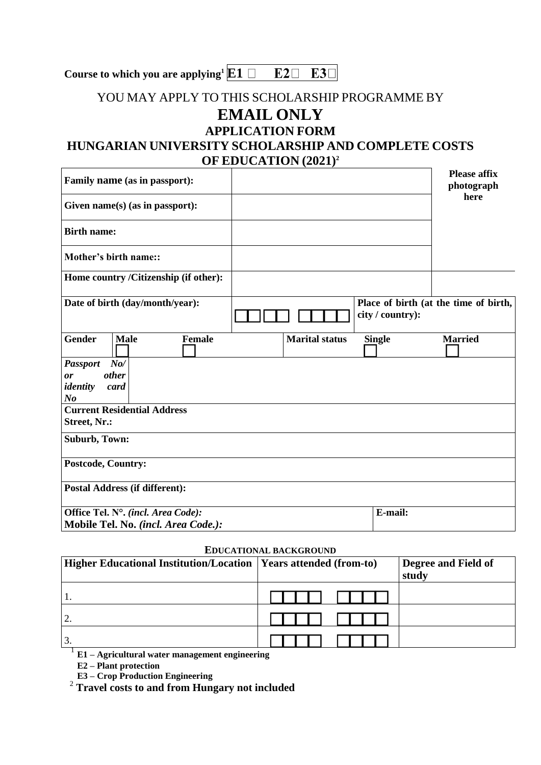## YOU MAY APPLY TO THIS SCHOLARSHIP PROGRAMME BY **EMAIL ONLY APPLICATION FORM**

## **HUNGARIAN UNIVERSITY SCHOLARSHIP AND COMPLETE COSTS OF EDUCATION (2021) 2**

| Family name (as in passport):                                                        |                       |                  | <b>Please affix</b><br>photograph     |
|--------------------------------------------------------------------------------------|-----------------------|------------------|---------------------------------------|
| Given $name(s)$ (as in passport):                                                    |                       |                  | here                                  |
| <b>Birth name:</b>                                                                   |                       |                  |                                       |
| <b>Mother's birth name::</b>                                                         |                       |                  |                                       |
| Home country /Citizenship (if other):                                                |                       |                  |                                       |
| Date of birth (day/month/year):                                                      |                       | city / country): | Place of birth (at the time of birth, |
| <b>Gender</b><br><b>Female</b><br><b>Male</b>                                        | <b>Marital status</b> | <b>Single</b>    | <b>Married</b>                        |
| $N_{0}$ /<br><b>Passport</b><br><i>other</i><br>or<br>identity<br>card<br>$\bm{N}$ o |                       |                  |                                       |
| <b>Current Residential Address</b><br>Street, Nr.:                                   |                       |                  |                                       |
| Suburb, Town:                                                                        |                       |                  |                                       |
| <b>Postcode, Country:</b>                                                            |                       |                  |                                       |
| <b>Postal Address (if different):</b>                                                |                       |                  |                                       |
| Office Tel. N°. (incl. Area Code):                                                   |                       | E-mail:          |                                       |
| Mobile Tel. No. (incl. Area Code.):                                                  |                       |                  |                                       |

## **EDUCATIONAL BACKGROUND**

| <b>Higher Educational Institution/Location   Years attended (from-to)</b> | Degree and Field of<br>study |
|---------------------------------------------------------------------------|------------------------------|
|                                                                           |                              |
| 12.                                                                       |                              |
| <sup>3</sup>                                                              |                              |

1 **E1 – Agricultural water management engineering**

**E2 – Plant protection**

**E3 – Crop Production Engineering**

<sup>2</sup> **Travel costs to and from Hungary not included**